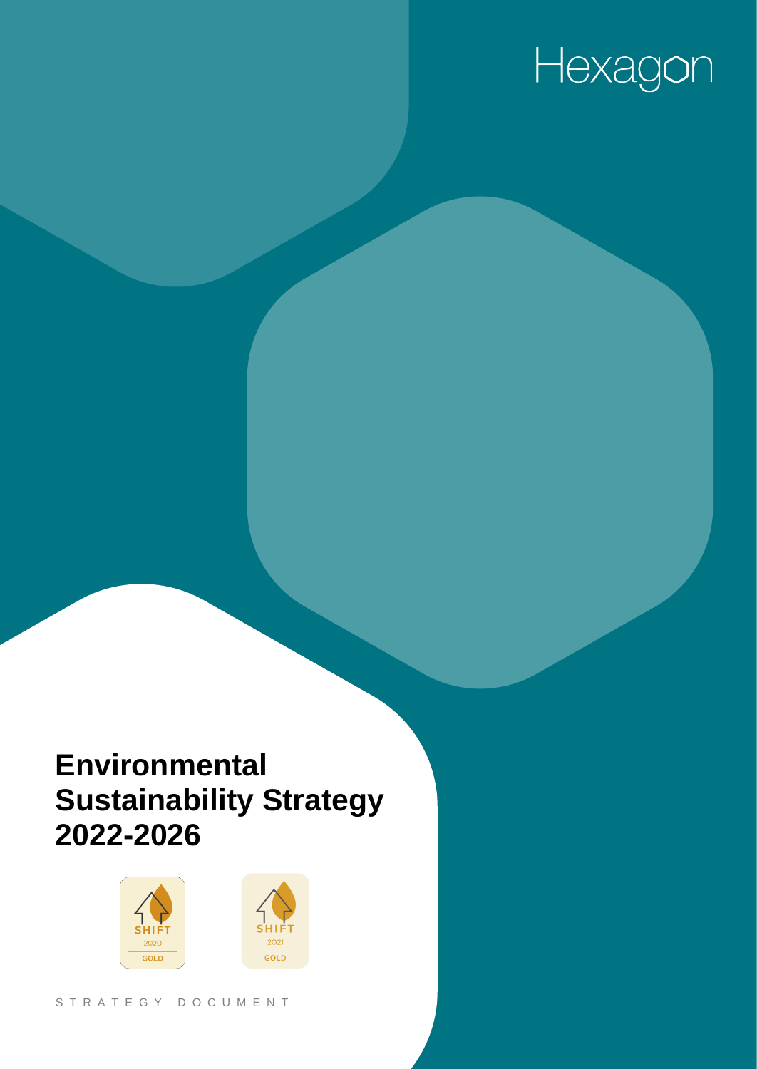# Hexagon

## **Environmental Sustainability Strategy 2022-2026**

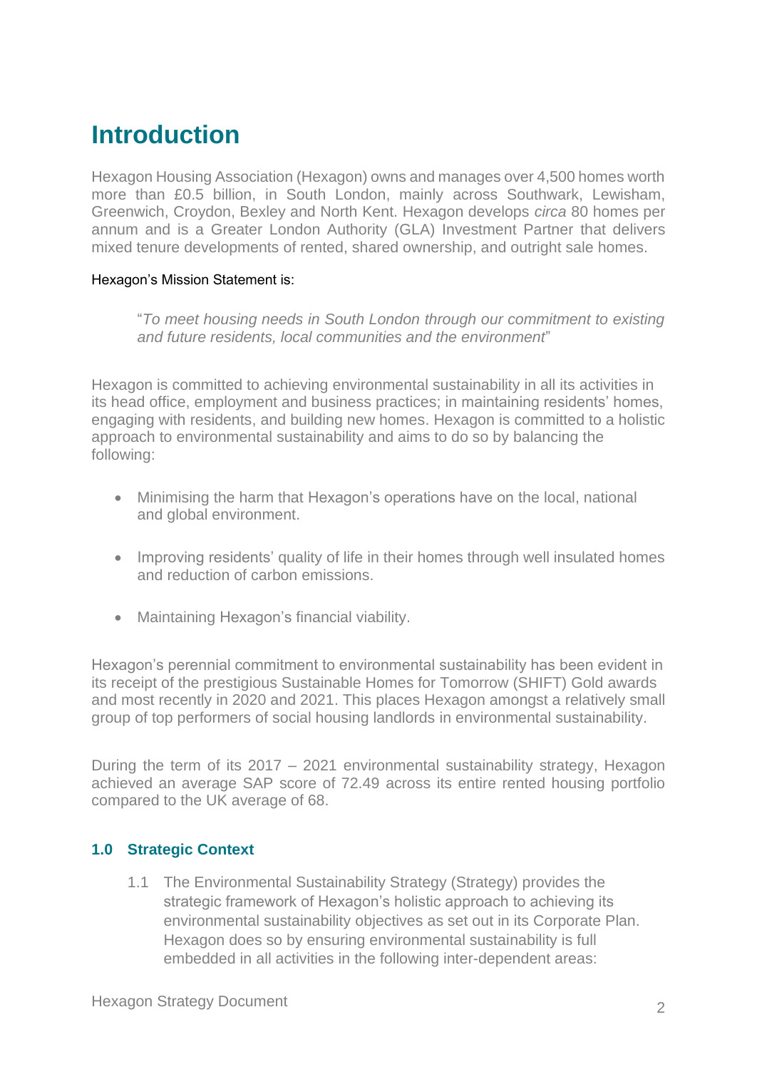### **Introduction**

Hexagon Housing Association (Hexagon) owns and manages over 4,500 homes worth more than £0.5 billion, in South London, mainly across Southwark, Lewisham, Greenwich, Croydon, Bexley and North Kent. Hexagon develops *circa* 80 homes per annum and is a Greater London Authority (GLA) Investment Partner that delivers mixed tenure developments of rented, shared ownership, and outright sale homes.

#### Hexagon's Mission Statement is:

"*To meet housing needs in South London through our commitment to existing and future residents, local communities and the environment*"

Hexagon is committed to achieving environmental sustainability in all its activities in its head office, employment and business practices; in maintaining residents' homes, engaging with residents, and building new homes. Hexagon is committed to a holistic approach to environmental sustainability and aims to do so by balancing the following:

- Minimising the harm that Hexagon's operations have on the local, national and global environment.
- Improving residents' quality of life in their homes through well insulated homes and reduction of carbon emissions.
- Maintaining Hexagon's financial viability.

Hexagon's perennial commitment to environmental sustainability has been evident in its receipt of the prestigious Sustainable Homes for Tomorrow (SHIFT) Gold awards and most recently in 2020 and 2021. This places Hexagon amongst a relatively small group of top performers of social housing landlords in environmental sustainability.

During the term of its 2017 – 2021 environmental sustainability strategy, Hexagon achieved an average SAP score of 72.49 across its entire rented housing portfolio compared to the UK average of 68.

#### **1.0 Strategic Context**

1.1 The Environmental Sustainability Strategy (Strategy) provides the strategic framework of Hexagon's holistic approach to achieving its environmental sustainability objectives as set out in its Corporate Plan. Hexagon does so by ensuring environmental sustainability is full embedded in all activities in the following inter-dependent areas: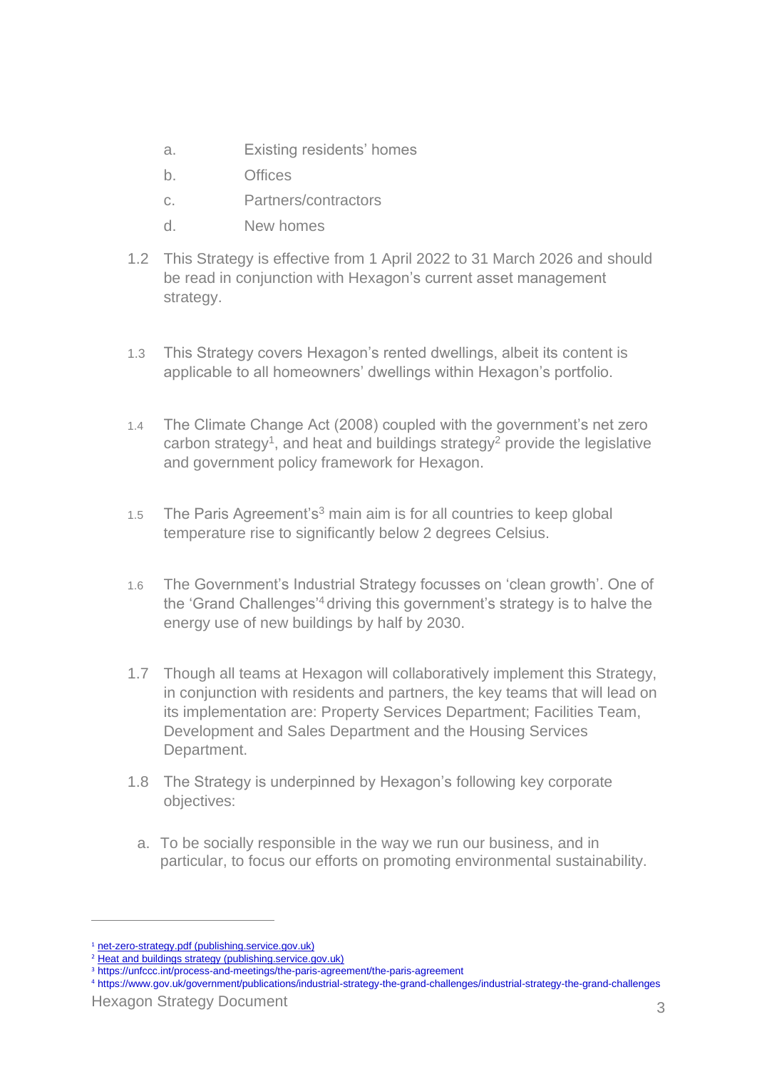- a. Existing residents' homes
- b. Offices
- c. Partners/contractors
- d. New homes
- 1.2 This Strategy is effective from 1 April 2022 to 31 March 2026 and should be read in conjunction with Hexagon's current asset management strategy.
- 1.3 This Strategy covers Hexagon's rented dwellings, albeit its content is applicable to all homeowners' dwellings within Hexagon's portfolio.
- 1.4 The Climate Change Act (2008) coupled with the government's net zero carbon strategy<sup>1</sup>, and heat and buildings strategy<sup>2</sup> provide the legislative and government policy framework for Hexagon.
- 1.5 The Paris Agreement's<sup>3</sup> main aim is for all countries to keep global temperature rise to significantly below 2 degrees Celsius.
- 1.6 The Government's Industrial Strategy focusses on 'clean growth'. One of the 'Grand Challenges'<sup>4</sup> driving this government's strategy is to halve the energy use of new buildings by half by 2030.
- 1.7 Though all teams at Hexagon will collaboratively implement this Strategy, in conjunction with residents and partners, the key teams that will lead on its implementation are: Property Services Department; Facilities Team, Development and Sales Department and the Housing Services Department.
- 1.8 The Strategy is underpinned by Hexagon's following key corporate objectives:
	- a. To be socially responsible in the way we run our business, and in particular, to focus our efforts on promoting environmental sustainability.

<sup>&</sup>lt;sup>1</sup> [net-zero-strategy.pdf \(publishing.service.gov.uk\)](https://assets.publishing.service.gov.uk/government/uploads/system/uploads/attachment_data/file/1026655/net-zero-strategy.pdf)

<sup>2</sup> [Heat and buildings strategy \(publishing.service.gov.uk\)](https://assets.publishing.service.gov.uk/government/uploads/system/uploads/attachment_data/file/1026507/heat-buildings-strategy.pdf)

<sup>3</sup> https://unfccc.int/process-and-meetings/the-paris-agreement/the-paris-agreement

<sup>4</sup> https://www.gov.uk/government/publications/industrial-strategy-the-grand-challenges/industrial-strategy-the-grand-challenges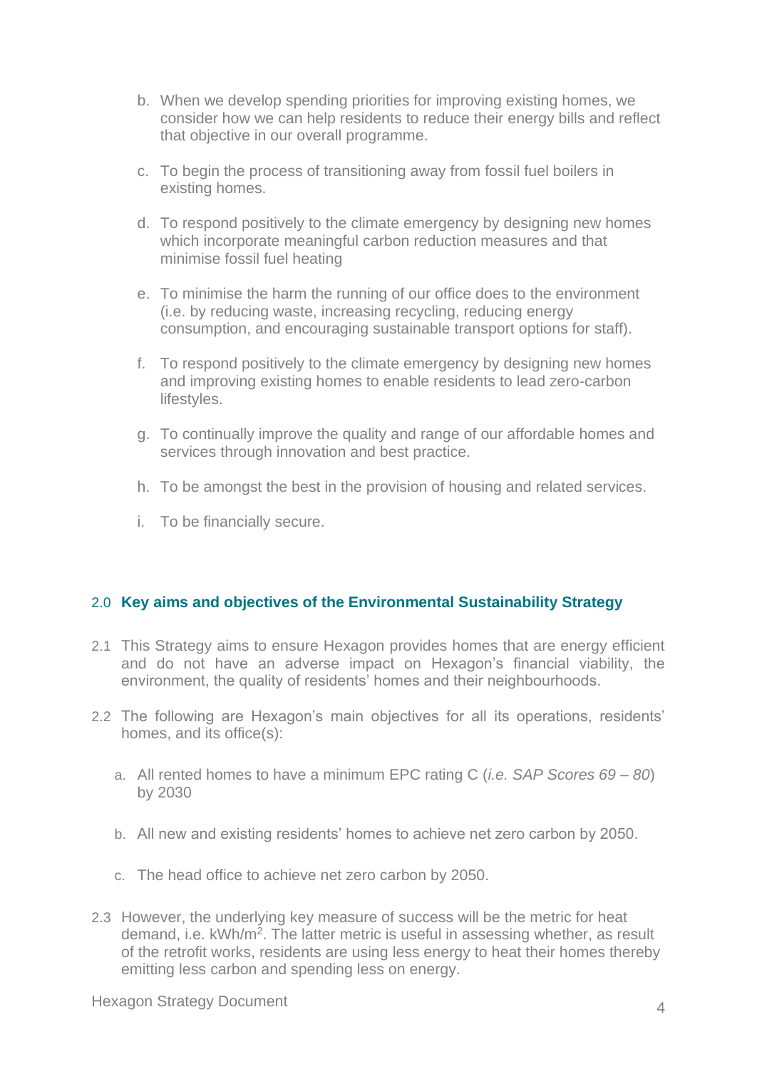- b. When we develop spending priorities for improving existing homes, we consider how we can help residents to reduce their energy bills and reflect that objective in our overall programme.
- c. To begin the process of transitioning away from fossil fuel boilers in existing homes.
- d. To respond positively to the climate emergency by designing new homes which incorporate meaningful carbon reduction measures and that minimise fossil fuel heating
- e. To minimise the harm the running of our office does to the environment (i.e. by reducing waste, increasing recycling, reducing energy consumption, and encouraging sustainable transport options for staff).
- f. To respond positively to the climate emergency by designing new homes and improving existing homes to enable residents to lead zero-carbon lifestyles.
- g. To continually improve the quality and range of our affordable homes and services through innovation and best practice.
- h. To be amongst the best in the provision of housing and related services.
- i. To be financially secure.

#### 2.0 **Key aims and objectives of the Environmental Sustainability Strategy**

- 2.1 This Strategy aims to ensure Hexagon provides homes that are energy efficient and do not have an adverse impact on Hexagon's financial viability, the environment, the quality of residents' homes and their neighbourhoods.
- 2.2 The following are Hexagon's main objectives for all its operations, residents' homes, and its office(s):
	- a. All rented homes to have a minimum EPC rating C (*i.e. SAP Scores 69 – 80*) by 2030
	- b. All new and existing residents' homes to achieve net zero carbon by 2050.
	- c. The head office to achieve net zero carbon by 2050.
- 2.3 However, the underlying key measure of success will be the metric for heat demand, i.e. kWh/m<sup>2</sup>. The latter metric is useful in assessing whether, as result of the retrofit works, residents are using less energy to heat their homes thereby emitting less carbon and spending less on energy.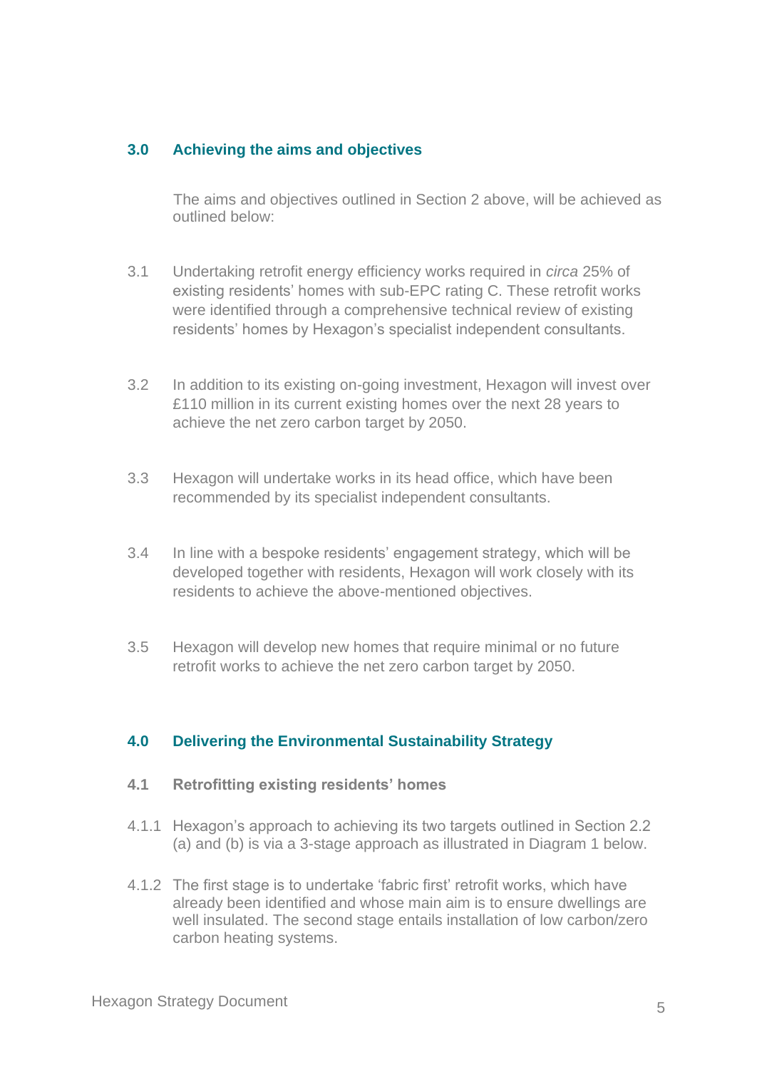#### **3.0 Achieving the aims and objectives**

The aims and objectives outlined in Section 2 above, will be achieved as outlined below:

- 3.1 Undertaking retrofit energy efficiency works required in *circa* 25% of existing residents' homes with sub-EPC rating C. These retrofit works were identified through a comprehensive technical review of existing residents' homes by Hexagon's specialist independent consultants.
- 3.2 In addition to its existing on-going investment, Hexagon will invest over £110 million in its current existing homes over the next 28 years to achieve the net zero carbon target by 2050.
- 3.3 Hexagon will undertake works in its head office, which have been recommended by its specialist independent consultants.
- 3.4 In line with a bespoke residents' engagement strategy, which will be developed together with residents, Hexagon will work closely with its residents to achieve the above-mentioned objectives.
- 3.5 Hexagon will develop new homes that require minimal or no future retrofit works to achieve the net zero carbon target by 2050.

#### **4.0 Delivering the Environmental Sustainability Strategy**

- **4.1 Retrofitting existing residents' homes**
- 4.1.1 Hexagon's approach to achieving its two targets outlined in Section 2.2 (a) and (b) is via a 3-stage approach as illustrated in Diagram 1 below.
- 4.1.2 The first stage is to undertake 'fabric first' retrofit works, which have already been identified and whose main aim is to ensure dwellings are well insulated. The second stage entails installation of low carbon/zero carbon heating systems.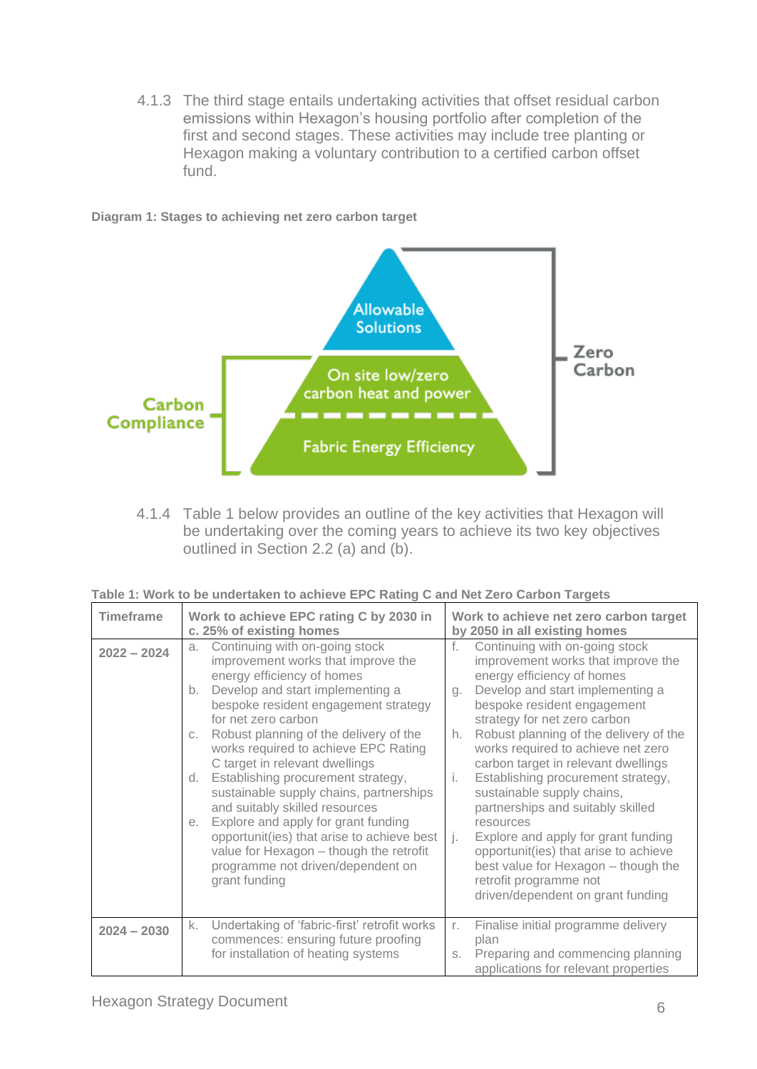4.1.3 The third stage entails undertaking activities that offset residual carbon emissions within Hexagon's housing portfolio after completion of the first and second stages. These activities may include tree planting or Hexagon making a voluntary contribution to a certified carbon offset fund.

**Diagram 1: Stages to achieving net zero carbon target** 



4.1.4 Table 1 below provides an outline of the key activities that Hexagon will be undertaking over the coming years to achieve its two key objectives outlined in Section 2.2 (a) and (b).

| Table 1: Work to be undertaken to achieve EPC Rating C and Net Zero Carbon Targets |
|------------------------------------------------------------------------------------|
|------------------------------------------------------------------------------------|

| <b>Timeframe</b> | Work to achieve EPC rating C by 2030 in<br>c. 25% of existing homes                                                                                                                                                                                                                                                                                                                                                                                                                                                                                                                                                                                              | Work to achieve net zero carbon target<br>by 2050 in all existing homes                                                                                                                                                                                                                                                                                                                                                                                                                                                                                                                                                                                                             |  |
|------------------|------------------------------------------------------------------------------------------------------------------------------------------------------------------------------------------------------------------------------------------------------------------------------------------------------------------------------------------------------------------------------------------------------------------------------------------------------------------------------------------------------------------------------------------------------------------------------------------------------------------------------------------------------------------|-------------------------------------------------------------------------------------------------------------------------------------------------------------------------------------------------------------------------------------------------------------------------------------------------------------------------------------------------------------------------------------------------------------------------------------------------------------------------------------------------------------------------------------------------------------------------------------------------------------------------------------------------------------------------------------|--|
| $2022 - 2024$    | Continuing with on-going stock<br>a.<br>improvement works that improve the<br>energy efficiency of homes<br>Develop and start implementing a<br>b.<br>bespoke resident engagement strategy<br>for net zero carbon<br>Robust planning of the delivery of the<br>C.<br>works required to achieve EPC Rating<br>C target in relevant dwellings<br>Establishing procurement strategy,<br>d.<br>sustainable supply chains, partnerships<br>and suitably skilled resources<br>Explore and apply for grant funding<br>е.<br>opportunit(ies) that arise to achieve best<br>value for Hexagon - though the retrofit<br>programme not driven/dependent on<br>grant funding | f.<br>Continuing with on-going stock<br>improvement works that improve the<br>energy efficiency of homes<br>Develop and start implementing a<br>Q <sub>1</sub><br>bespoke resident engagement<br>strategy for net zero carbon<br>Robust planning of the delivery of the<br>h.<br>works required to achieve net zero<br>carbon target in relevant dwellings<br>Establishing procurement strategy,<br>Ť.<br>sustainable supply chains,<br>partnerships and suitably skilled<br>resources<br>Explore and apply for grant funding<br>Lj.<br>opportunit(ies) that arise to achieve<br>best value for Hexagon - though the<br>retrofit programme not<br>driven/dependent on grant funding |  |
| $2024 - 2030$    | Undertaking of 'fabric-first' retrofit works<br>k.<br>commences: ensuring future proofing<br>for installation of heating systems                                                                                                                                                                                                                                                                                                                                                                                                                                                                                                                                 | Finalise initial programme delivery<br>r.<br>plan<br>Preparing and commencing planning<br>S.<br>applications for relevant properties                                                                                                                                                                                                                                                                                                                                                                                                                                                                                                                                                |  |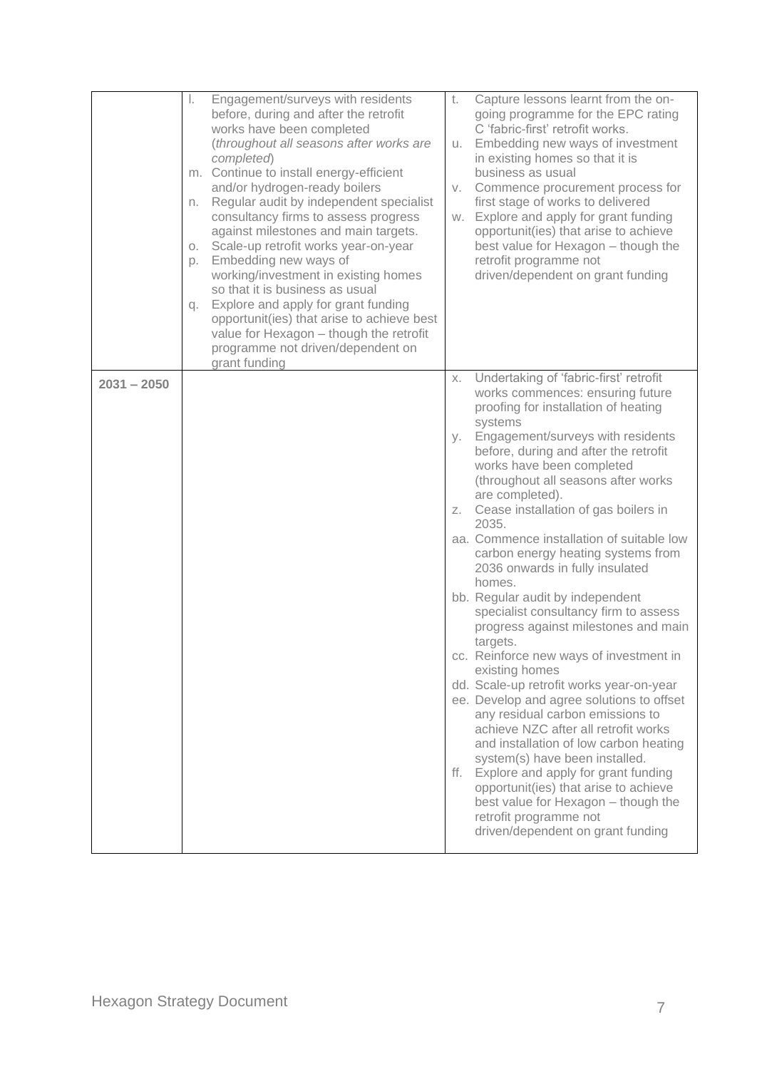|               | Engagement/surveys with residents<br>I.<br>before, during and after the retrofit<br>works have been completed<br>(throughout all seasons after works are<br>completed)<br>m. Continue to install energy-efficient<br>and/or hydrogen-ready boilers<br>Regular audit by independent specialist<br>n.<br>consultancy firms to assess progress<br>against milestones and main targets.<br>Scale-up retrofit works year-on-year<br>О.<br>Embedding new ways of<br>p.<br>working/investment in existing homes<br>so that it is business as usual<br>Explore and apply for grant funding<br>q.<br>opportunit(ies) that arise to achieve best<br>value for Hexagon - though the retrofit<br>programme not driven/dependent on<br>grant funding | Capture lessons learnt from the on-<br>t.<br>going programme for the EPC rating<br>C 'fabric-first' retrofit works.<br>Embedding new ways of investment<br>u.<br>in existing homes so that it is<br>business as usual<br>Commence procurement process for<br>V.<br>first stage of works to delivered<br>Explore and apply for grant funding<br>W.<br>opportunit(ies) that arise to achieve<br>best value for Hexagon - though the<br>retrofit programme not<br>driven/dependent on grant funding                                                                                                                                                                                                                                                                                                                                                                                                                                                                                                                                                                                                                                               |
|---------------|-----------------------------------------------------------------------------------------------------------------------------------------------------------------------------------------------------------------------------------------------------------------------------------------------------------------------------------------------------------------------------------------------------------------------------------------------------------------------------------------------------------------------------------------------------------------------------------------------------------------------------------------------------------------------------------------------------------------------------------------|------------------------------------------------------------------------------------------------------------------------------------------------------------------------------------------------------------------------------------------------------------------------------------------------------------------------------------------------------------------------------------------------------------------------------------------------------------------------------------------------------------------------------------------------------------------------------------------------------------------------------------------------------------------------------------------------------------------------------------------------------------------------------------------------------------------------------------------------------------------------------------------------------------------------------------------------------------------------------------------------------------------------------------------------------------------------------------------------------------------------------------------------|
| $2031 - 2050$ |                                                                                                                                                                                                                                                                                                                                                                                                                                                                                                                                                                                                                                                                                                                                         | Undertaking of 'fabric-first' retrofit<br>Χ.<br>works commences: ensuring future<br>proofing for installation of heating<br>systems<br>Engagement/surveys with residents<br>y.<br>before, during and after the retrofit<br>works have been completed<br>(throughout all seasons after works<br>are completed).<br>Cease installation of gas boilers in<br>Z.<br>2035.<br>aa. Commence installation of suitable low<br>carbon energy heating systems from<br>2036 onwards in fully insulated<br>homes.<br>bb. Regular audit by independent<br>specialist consultancy firm to assess<br>progress against milestones and main<br>targets.<br>cc. Reinforce new ways of investment in<br>existing homes<br>dd. Scale-up retrofit works year-on-year<br>ee. Develop and agree solutions to offset<br>any residual carbon emissions to<br>achieve NZC after all retrofit works<br>and installation of low carbon heating<br>system(s) have been installed.<br>ff. Explore and apply for grant funding<br>opportunit(ies) that arise to achieve<br>best value for Hexagon - though the<br>retrofit programme not<br>driven/dependent on grant funding |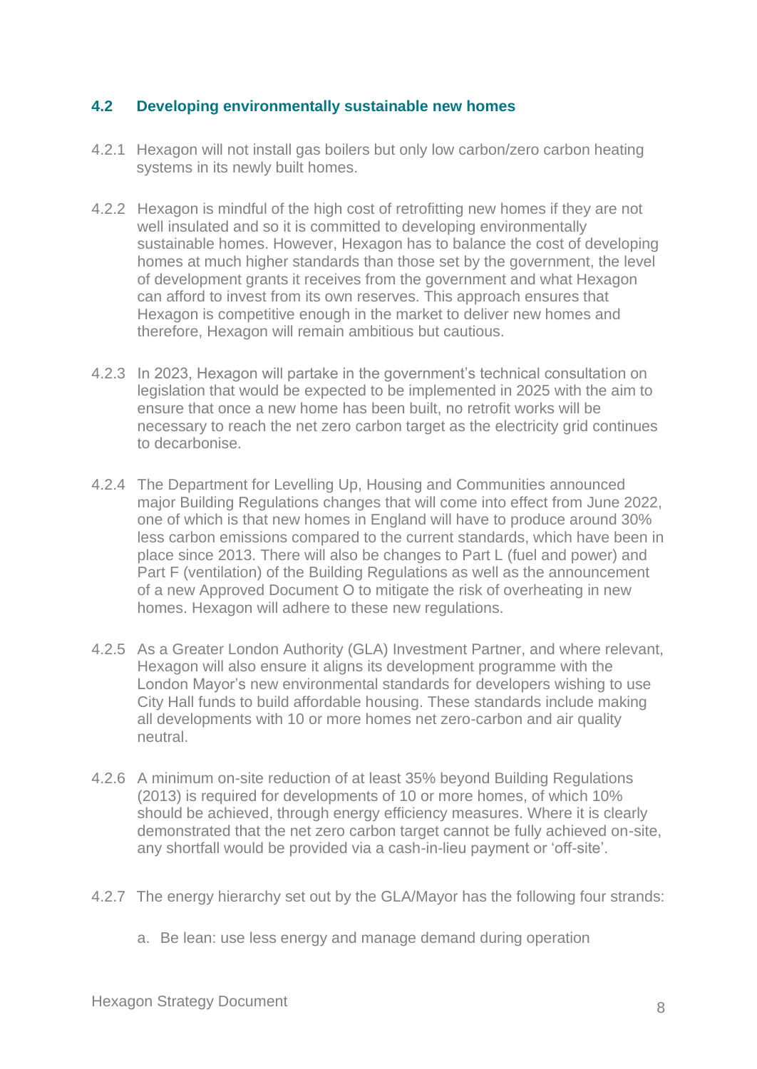#### **4.2 Developing environmentally sustainable new homes**

- 4.2.1 Hexagon will not install gas boilers but only low carbon/zero carbon heating systems in its newly built homes.
- 4.2.2 Hexagon is mindful of the high cost of retrofitting new homes if they are not well insulated and so it is committed to developing environmentally sustainable homes. However, Hexagon has to balance the cost of developing homes at much higher standards than those set by the government, the level of development grants it receives from the government and what Hexagon can afford to invest from its own reserves. This approach ensures that Hexagon is competitive enough in the market to deliver new homes and therefore, Hexagon will remain ambitious but cautious.
- 4.2.3 In 2023, Hexagon will partake in the government's technical consultation on legislation that would be expected to be implemented in 2025 with the aim to ensure that once a new home has been built, no retrofit works will be necessary to reach the net zero carbon target as the electricity grid continues to decarbonise.
- 4.2.4 The Department for Levelling Up, Housing and Communities announced major Building [Regulations](https://www.homebuilding.co.uk/advice/building-regulations-for-extensions) changes that will come into effect from June 2022, one of which is that new homes in England will have to produce around 30% less carbon emissions compared to the current standards, which have been in place since 2013. There will also be changes to Part L (fuel and power) and Part F (ventilation) of the Building Regulations as well as the announcement of a new Approved Document O to mitigate the risk of overheating in new homes. Hexagon will adhere to these new regulations.
- 4.2.5 As a Greater London Authority (GLA) Investment Partner, and where relevant, Hexagon will also ensure it aligns its development programme with the London Mayor's new environmental standards for developers wishing to use City Hall funds to build affordable housing. These standards include making all developments with 10 or more homes net zero-carbon and air quality neutral.
- 4.2.6 A minimum on-site reduction of at least 35% beyond Building Regulations (2013) is required for developments of 10 or more homes, of which 10% should be achieved, through energy efficiency measures. Where it is clearly demonstrated that the net zero carbon target cannot be fully achieved on-site, any shortfall would be provided via a cash-in-lieu payment or 'off-site'.
- 4.2.7 The energy hierarchy set out by the GLA/Mayor has the following four strands:
	- a. Be lean: use less energy and manage demand during operation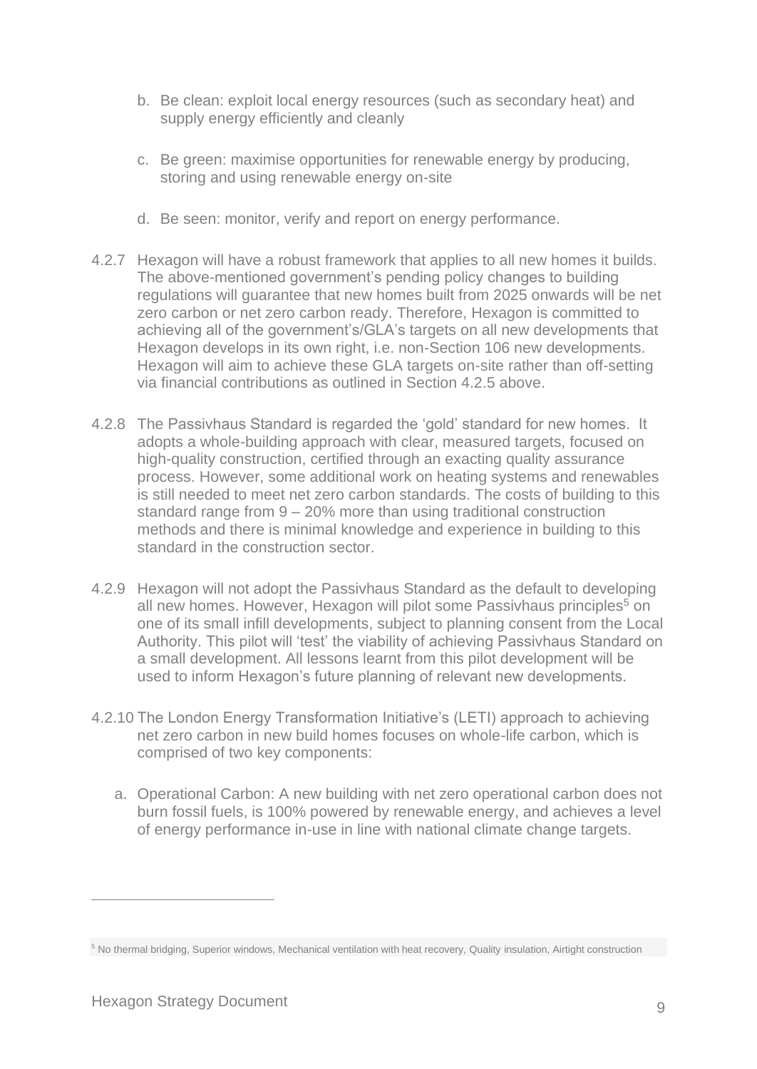- b. Be clean: exploit local energy resources (such as secondary heat) and supply energy efficiently and cleanly
- c. Be green: maximise opportunities for renewable energy by producing, storing and using renewable energy on-site
- d. Be seen: monitor, verify and report on energy performance.
- 4.2.7 Hexagon will have a robust framework that applies to all new homes it builds. The above-mentioned government's pending policy changes to building regulations will guarantee that new homes built from 2025 onwards will be net zero carbon or net zero carbon ready. Therefore, Hexagon is committed to achieving all of the government's/GLA's targets on all new developments that Hexagon develops in its own right, i.e. non-Section 106 new developments. Hexagon will aim to achieve these GLA targets on-site rather than off-setting via financial contributions as outlined in Section 4.2.5 above.
- 4.2.8 The Passivhaus Standard is regarded the 'gold' standard for new homes. It adopts a whole-building approach with clear, measured targets, focused on high-quality construction, certified through an exacting quality assurance process. However, some additional work on heating systems and renewables is still needed to meet net zero carbon standards. The costs of building to this standard range from 9 – 20% more than using traditional construction methods and there is minimal knowledge and experience in building to this standard in the construction sector.
- 4.2.9 Hexagon will not adopt the Passivhaus Standard as the default to developing all new homes. However, Hexagon will pilot some Passivhaus principles<sup>5</sup> on one of its small infill developments, subject to planning consent from the Local Authority. This pilot will 'test' the viability of achieving Passivhaus Standard on a small development. All lessons learnt from this pilot development will be used to inform Hexagon's future planning of relevant new developments.
- 4.2.10 The London Energy Transformation Initiative's (LETI) approach to achieving net zero carbon in new build homes focuses on whole-life carbon, which is comprised of two key components:
	- a. Operational Carbon: A new building with net zero operational carbon does not burn fossil fuels, is 100% powered by renewable energy, and achieves a level of energy performance in-use in line with national climate change targets.

<sup>5</sup> No thermal bridging, Superior windows, Mechanical ventilation with heat recovery, Quality insulation, Airtight construction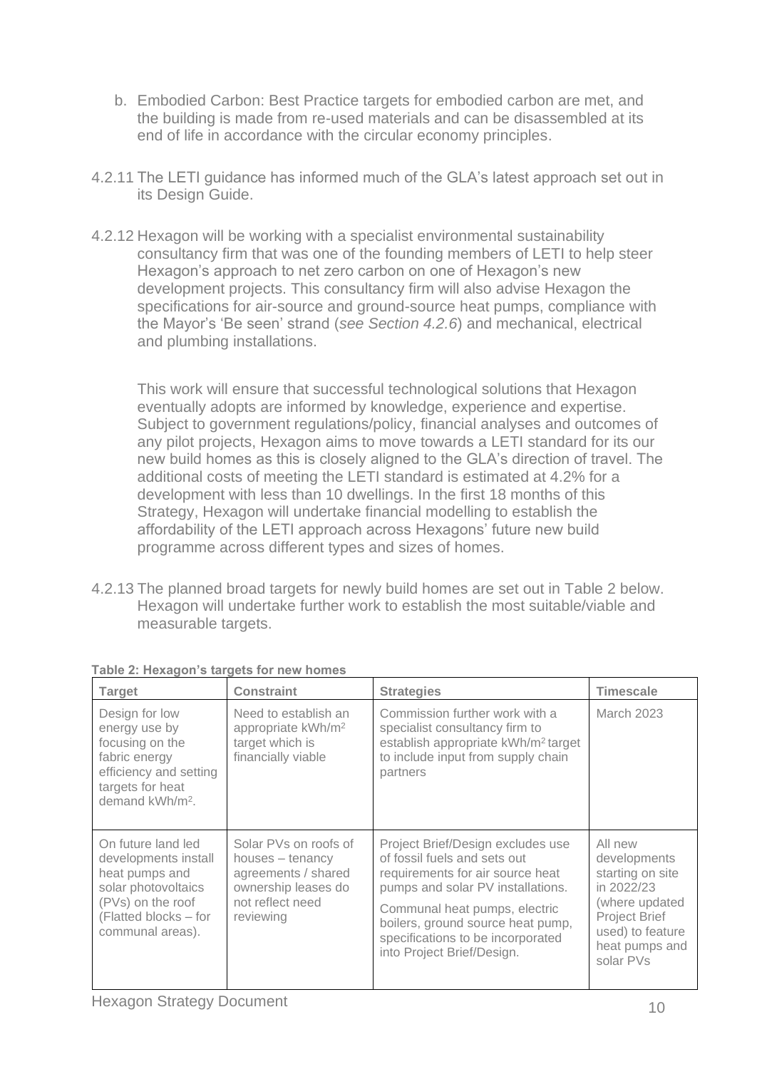- b. Embodied Carbon: Best Practice targets for embodied carbon are met, and the building is made from re-used materials and can be disassembled at its end of life in accordance with the circular economy principles.
- 4.2.11 The LETI guidance has informed much of the GLA's latest approach set out in its Design Guide.
- 4.2.12 Hexagon will be working with a specialist environmental sustainability consultancy firm that was one of the founding members of LETI to help steer Hexagon's approach to net zero carbon on one of Hexagon's new development projects. This consultancy firm will also advise Hexagon the specifications for air-source and ground-source heat pumps, compliance with the Mayor's 'Be seen' strand (*see Section 4.2.6*) and mechanical, electrical and plumbing installations.

This work will ensure that successful technological solutions that Hexagon eventually adopts are informed by knowledge, experience and expertise. Subject to government regulations/policy, financial analyses and outcomes of any pilot projects, Hexagon aims to move towards a LETI standard for its our new build homes as this is closely aligned to the GLA's direction of travel. The additional costs of meeting the LETI standard is estimated at 4.2% for a development with less than 10 dwellings. In the first 18 months of this Strategy, Hexagon will undertake financial modelling to establish the affordability of the LETI approach across Hexagons' future new build programme across different types and sizes of homes.

4.2.13 The planned broad targets for newly build homes are set out in Table 2 below. Hexagon will undertake further work to establish the most suitable/viable and measurable targets.

| <b>Target</b>                                                                                                                                         | <b>Constraint</b>                                                                                                        | <b>Strategies</b>                                                                                                                                                                                                                                                                   | <b>Timescale</b>                                                                                                                                |
|-------------------------------------------------------------------------------------------------------------------------------------------------------|--------------------------------------------------------------------------------------------------------------------------|-------------------------------------------------------------------------------------------------------------------------------------------------------------------------------------------------------------------------------------------------------------------------------------|-------------------------------------------------------------------------------------------------------------------------------------------------|
| Design for low<br>energy use by<br>focusing on the<br>fabric energy<br>efficiency and setting<br>targets for heat<br>demand kWh/m <sup>2</sup> .      | Need to establish an<br>appropriate kWh/m <sup>2</sup><br>target which is<br>financially viable                          | Commission further work with a<br>specialist consultancy firm to<br>establish appropriate kWh/m <sup>2</sup> target<br>to include input from supply chain<br>partners                                                                                                               | <b>March 2023</b>                                                                                                                               |
| On future land led<br>developments install<br>heat pumps and<br>solar photovoltaics<br>(PVs) on the roof<br>(Flatted blocks - for<br>communal areas). | Solar PVs on roofs of<br>houses – tenancy<br>agreements / shared<br>ownership leases do<br>not reflect need<br>reviewing | Project Brief/Design excludes use<br>of fossil fuels and sets out<br>requirements for air source heat<br>pumps and solar PV installations.<br>Communal heat pumps, electric<br>boilers, ground source heat pump,<br>specifications to be incorporated<br>into Project Brief/Design. | All new<br>developments<br>starting on site<br>in 2022/23<br>(where updated<br>Project Brief<br>used) to feature<br>heat pumps and<br>solar PVs |

|  | Table 2: Hexagon's targets for new homes |  |  |
|--|------------------------------------------|--|--|
|  |                                          |  |  |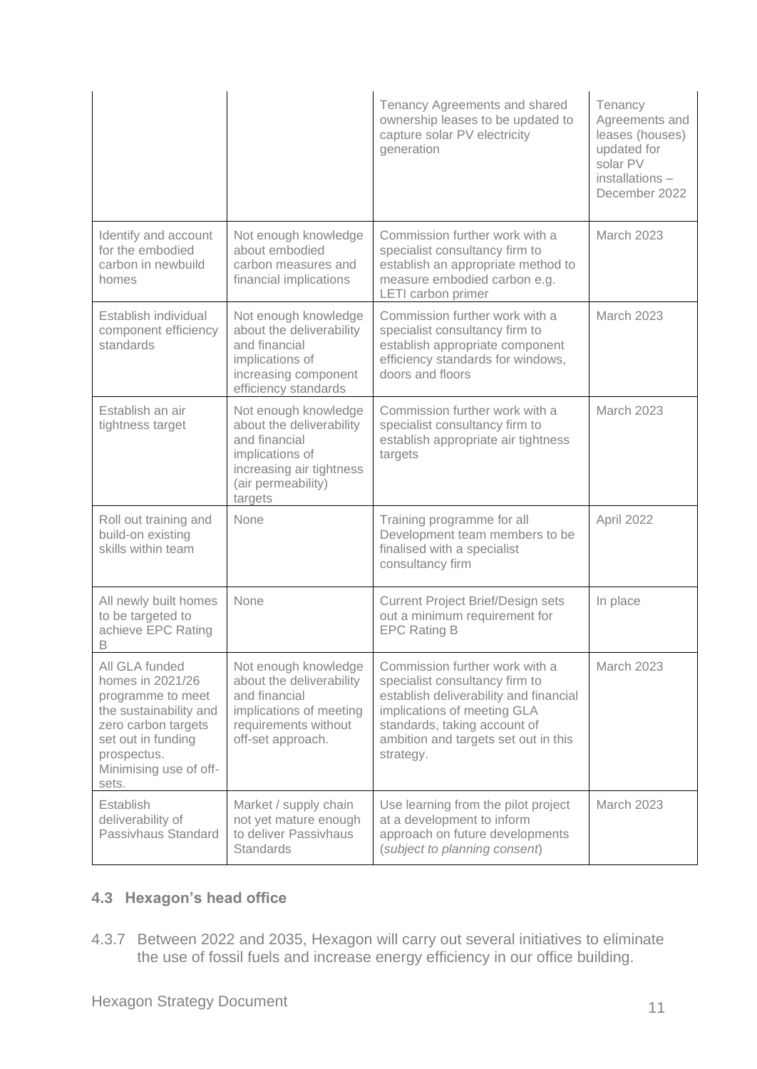|                                                                                                                                                                                  |                                                                                                                                                   | Tenancy Agreements and shared<br>ownership leases to be updated to<br>capture solar PV electricity<br>generation                                                                                                               | Tenancy<br>Agreements and<br>leases (houses)<br>updated for<br>solar PV<br>installations -<br>December 2022 |
|----------------------------------------------------------------------------------------------------------------------------------------------------------------------------------|---------------------------------------------------------------------------------------------------------------------------------------------------|--------------------------------------------------------------------------------------------------------------------------------------------------------------------------------------------------------------------------------|-------------------------------------------------------------------------------------------------------------|
| Identify and account<br>for the embodied<br>carbon in newbuild<br>homes                                                                                                          | Not enough knowledge<br>about embodied<br>carbon measures and<br>financial implications                                                           | Commission further work with a<br>specialist consultancy firm to<br>establish an appropriate method to<br>measure embodied carbon e.g.<br>LETI carbon primer                                                                   | <b>March 2023</b>                                                                                           |
| Establish individual<br>component efficiency<br>standards                                                                                                                        | Not enough knowledge<br>about the deliverability<br>and financial<br>implications of<br>increasing component<br>efficiency standards              | Commission further work with a<br>specialist consultancy firm to<br>establish appropriate component<br>efficiency standards for windows,<br>doors and floors                                                                   | <b>March 2023</b>                                                                                           |
| Establish an air<br>tightness target                                                                                                                                             | Not enough knowledge<br>about the deliverability<br>and financial<br>implications of<br>increasing air tightness<br>(air permeability)<br>targets | Commission further work with a<br>specialist consultancy firm to<br>establish appropriate air tightness<br>targets                                                                                                             | <b>March 2023</b>                                                                                           |
| Roll out training and<br>build-on existing<br>skills within team                                                                                                                 | None                                                                                                                                              | Training programme for all<br>Development team members to be<br>finalised with a specialist<br>consultancy firm                                                                                                                | April 2022                                                                                                  |
| All newly built homes<br>to be targeted to<br>achieve EPC Rating<br>В                                                                                                            | None                                                                                                                                              | <b>Current Project Brief/Design sets</b><br>out a minimum requirement for<br><b>EPC Rating B</b>                                                                                                                               | In place                                                                                                    |
| All GLA funded<br>homes in 2021/26<br>programme to meet<br>the sustainability and<br>zero carbon targets<br>set out in funding<br>prospectus.<br>Minimising use of off-<br>sets. | Not enough knowledge<br>about the deliverability<br>and financial<br>implications of meeting<br>requirements without<br>off-set approach.         | Commission further work with a<br>specialist consultancy firm to<br>establish deliverability and financial<br>implications of meeting GLA<br>standards, taking account of<br>ambition and targets set out in this<br>strategy. | <b>March 2023</b>                                                                                           |
| Establish<br>deliverability of<br>Passivhaus Standard                                                                                                                            | Market / supply chain<br>not yet mature enough<br>to deliver Passivhaus<br><b>Standards</b>                                                       | Use learning from the pilot project<br>at a development to inform<br>approach on future developments<br>(subject to planning consent)                                                                                          | <b>March 2023</b>                                                                                           |

#### **4.3 Hexagon's head office**

4.3.7 Between 2022 and 2035, Hexagon will carry out several initiatives to eliminate the use of fossil fuels and increase energy efficiency in our office building.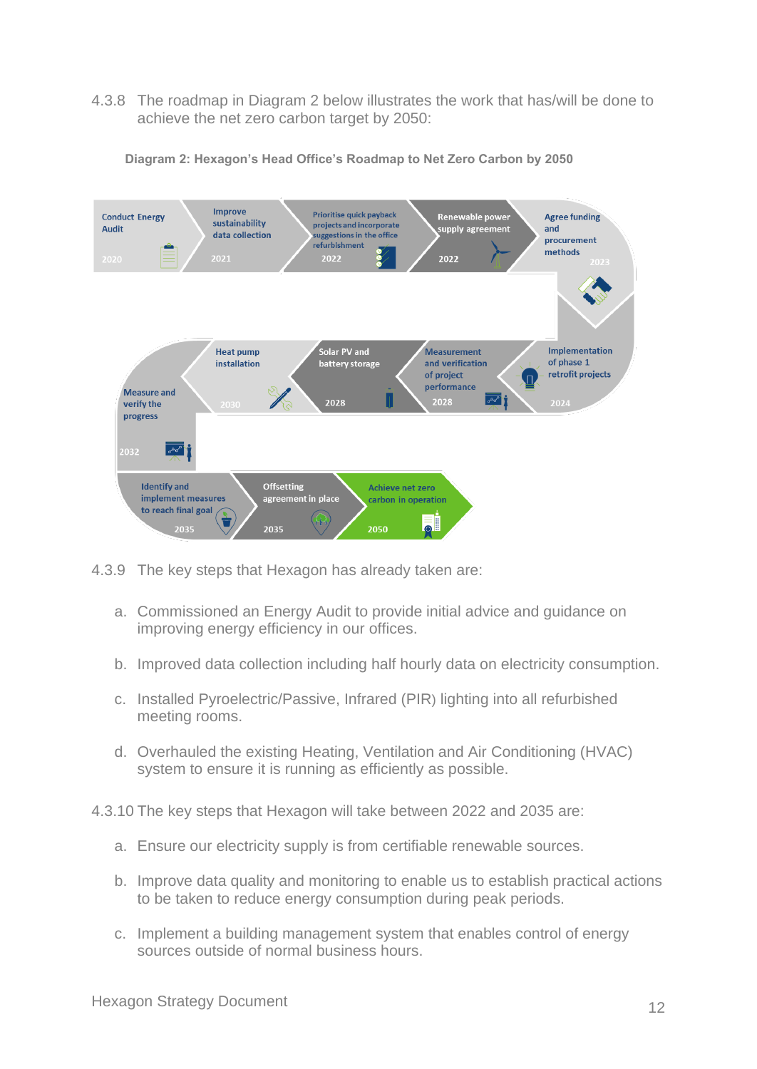4.3.8 The roadmap in Diagram 2 below illustrates the work that has/will be done to achieve the net zero carbon target by 2050:



**Diagram 2: Hexagon's Head Office's Roadmap to Net Zero Carbon by 2050** 

- 4.3.9 The key steps that Hexagon has already taken are:
	- a. Commissioned an Energy Audit to provide initial advice and guidance on improving energy efficiency in our offices.
	- b. Improved data collection including half hourly data on electricity consumption.
	- c. Installed Pyroelectric/Passive, Infrared (PIR) lighting into all refurbished meeting rooms.
	- d. Overhauled the existing Heating, Ventilation and Air Conditioning (HVAC) system to ensure it is running as efficiently as possible.
- 4.3.10 The key steps that Hexagon will take between 2022 and 2035 are:
	- a. Ensure our electricity supply is from certifiable renewable sources.
	- b. Improve data quality and monitoring to enable us to establish practical actions to be taken to reduce energy consumption during peak periods.
	- c. Implement a building management system that enables control of energy sources outside of normal business hours.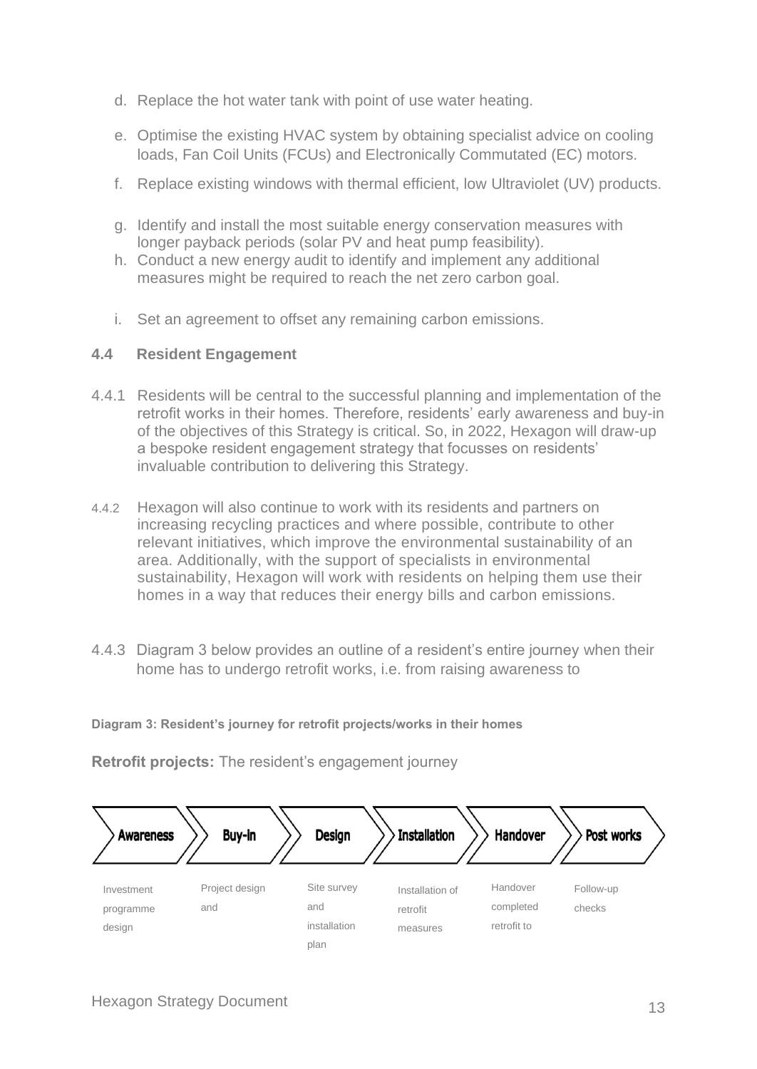- d. Replace the hot water tank with point of use water heating.
- e. Optimise the existing HVAC system by obtaining specialist advice on cooling loads, Fan Coil Units (FCUs) and Electronically Commutated (EC) motors.
- f. Replace existing windows with thermal efficient, low Ultraviolet (UV) products.
- g. Identify and install the most suitable energy conservation measures with longer payback periods (solar PV and heat pump feasibility).
- h. Conduct a new energy audit to identify and implement any additional measures might be required to reach the net zero carbon goal.
- i. Set an agreement to offset any remaining carbon emissions.

#### **4.4 Resident Engagement**

- 4.4.1 Residents will be central to the successful planning and implementation of the retrofit works in their homes. Therefore, residents' early awareness and buy-in of the objectives of this Strategy is critical. So, in 2022, Hexagon will draw-up a bespoke resident engagement strategy that focusses on residents' invaluable contribution to delivering this Strategy.
- 4.4.2 Hexagon will also continue to work with its residents and partners on increasing recycling practices and where possible, contribute to other relevant initiatives, which improve the environmental sustainability of an area. Additionally, with the support of specialists in environmental sustainability, Hexagon will work with residents on helping them use their homes in a way that reduces their energy bills and carbon emissions.
- 4.4.3 Diagram 3 below provides an outline of a resident's entire journey when their home has to undergo retrofit works, i.e. from raising awareness to

**Diagram 3: Resident's journey for retrofit projects/works in their homes** 

**Retrofit projects:** The resident's engagement journey

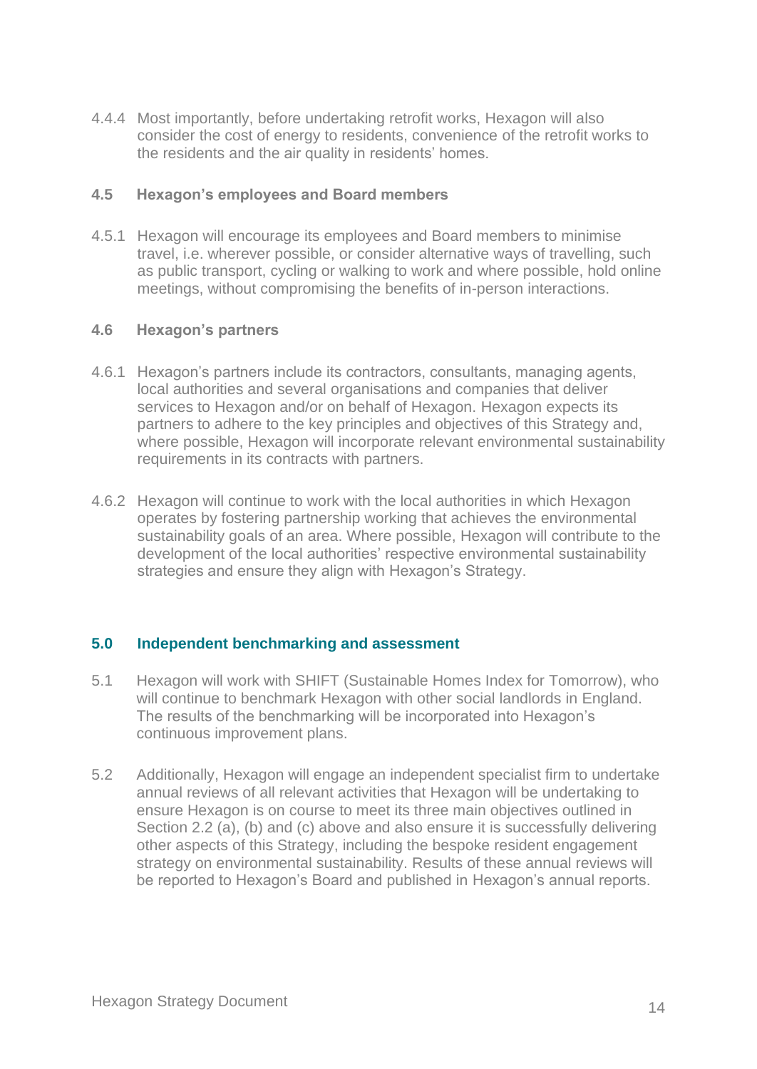4.4.4 Most importantly, before undertaking retrofit works, Hexagon will also consider the cost of energy to residents, convenience of the retrofit works to the residents and the air quality in residents' homes.

#### **4.5 Hexagon's employees and Board members**

4.5.1 Hexagon will encourage its employees and Board members to minimise travel, i.e. wherever possible, or consider alternative ways of travelling, such as public transport, cycling or walking to work and where possible, hold online meetings, without compromising the benefits of in-person interactions.

#### **4.6 Hexagon's partners**

- 4.6.1 Hexagon's partners include its contractors, consultants, managing agents, local authorities and several organisations and companies that deliver services to Hexagon and/or on behalf of Hexagon. Hexagon expects its partners to adhere to the key principles and objectives of this Strategy and, where possible, Hexagon will incorporate relevant environmental sustainability requirements in its contracts with partners.
- 4.6.2 Hexagon will continue to work with the local authorities in which Hexagon operates by fostering partnership working that achieves the environmental sustainability goals of an area. Where possible, Hexagon will contribute to the development of the local authorities' respective environmental sustainability strategies and ensure they align with Hexagon's Strategy.

#### **5.0 Independent benchmarking and assessment**

- 5.1 Hexagon will work with SHIFT (Sustainable Homes Index for Tomorrow), who will continue to benchmark Hexagon with other social landlords in England. The results of the benchmarking will be incorporated into Hexagon's continuous improvement plans.
- 5.2 Additionally, Hexagon will engage an independent specialist firm to undertake annual reviews of all relevant activities that Hexagon will be undertaking to ensure Hexagon is on course to meet its three main objectives outlined in Section 2.2 (a), (b) and (c) above and also ensure it is successfully delivering other aspects of this Strategy, including the bespoke resident engagement strategy on environmental sustainability. Results of these annual reviews will be reported to Hexagon's Board and published in Hexagon's annual reports.